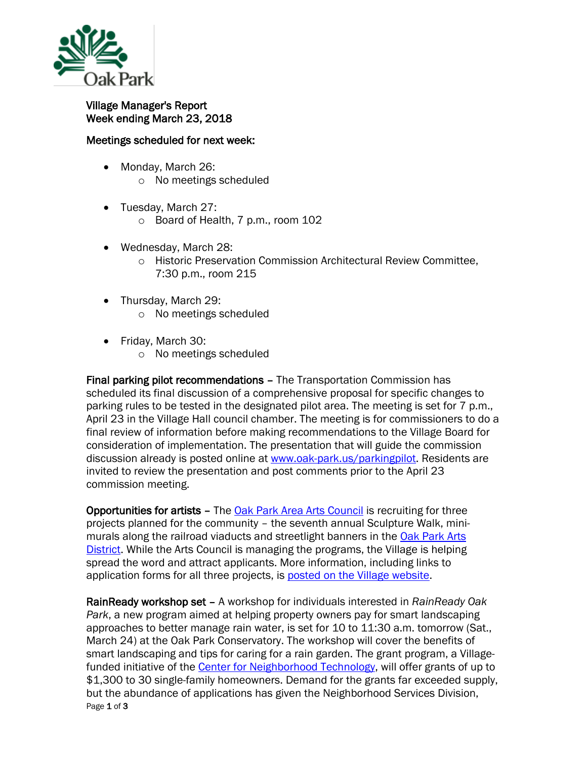

## Village Manager's Report Week ending March 23, 2018

## Meetings scheduled for next week:

- Monday, March 26:
	- o No meetings scheduled
- Tuesday, March 27: o Board of Health, 7 p.m., room 102
- Wednesday, March 28:
	- o Historic Preservation Commission Architectural Review Committee, 7:30 p.m., room 215
- Thursday, March 29:
	- o No meetings scheduled
- Friday, March 30:
	- o No meetings scheduled

Final parking pilot recommendations – The Transportation Commission has scheduled its final discussion of a comprehensive proposal for specific changes to parking rules to be tested in the designated pilot area. The meeting is set for 7 p.m., April 23 in the Village Hall council chamber. The meeting is for commissioners to do a final review of information before making recommendations to the Village Board for consideration of implementation. The presentation that will guide the commission discussion already is posted online at [www.oak-park.us/parkingpilot.](http://www.oak-park.us/parkingpilot) Residents are invited to review the presentation and post comments prior to the April 23 commission meeting.

Opportunities for artists – The [Oak Park Area Arts Council](http://mxrelay.oak-park.us:32224/?dmVyPTEuMDAxJiZhYjYyYTFkYjEwMjIwZGM4OT01QUIxNTg0N180NTUzMV8yNjhfMSYmYTgzZTJiNTk2OTE5MWUyPTEyMzMmJnVybD1odHRwJTNBJTJGJTJGcjIwJTJFcnM2JTJFbmV0JTJGdG4lMkVqc3AlM0Z0JTNEaXR0N2V1N2FiJTJFMCUyRTAlMkVxZGNsbG1tYWIlMkUwJTI2aWQlM0RwcmV2aWV3JTI2ciUzRDMlMjZwJTNEaHR0cHMlMjUzQSUyNTJGJTI1MkZidXNpbmVzcyUyRWZhY2Vib29rJTJFY29tJTI1MkZvcGFhYyUyNTJGJTI1M0ZmcmVmJTI1M0RtZW50aW9ucw==) is recruiting for three projects planned for the community – the seventh annual Sculpture Walk, minimurals along the railroad viaducts and streetlight banners in the [Oak Park Arts](http://mxrelay.oak-park.us:32224/?dmVyPTEuMDAxJiZhYjYyYTFkYjEwMjIwZGM4OT01QUIxNTg0N180NTUzMV8yNjhfMSYmYTgzZTJiNTk2OTE5MWUyPTEyMzMmJnVybD1odHRwJTNBJTJGJTJGcjIwJTJFcnM2JTJFbmV0JTJGdG4lMkVqc3AlM0Z0JTNEaXR0N2V1N2FiJTJFMCUyRTAlMkVxZGNsbG1tYWIlMkUwJTI2aWQlM0RwcmV2aWV3JTI2ciUzRDMlMjZwJTNEaHR0cHMlMjUzQSUyNTJGJTI1MkZidXNpbmVzcyUyRWZhY2Vib29rJTJFY29tJTI1MkZPYWtQYXJrQXJ0c0Rpc3RyaWN0JTI1MkYlMjUzRmZyZWYlMjUzRG1lbnRpb25z)  [District.](http://mxrelay.oak-park.us:32224/?dmVyPTEuMDAxJiZhYjYyYTFkYjEwMjIwZGM4OT01QUIxNTg0N180NTUzMV8yNjhfMSYmYTgzZTJiNTk2OTE5MWUyPTEyMzMmJnVybD1odHRwJTNBJTJGJTJGcjIwJTJFcnM2JTJFbmV0JTJGdG4lMkVqc3AlM0Z0JTNEaXR0N2V1N2FiJTJFMCUyRTAlMkVxZGNsbG1tYWIlMkUwJTI2aWQlM0RwcmV2aWV3JTI2ciUzRDMlMjZwJTNEaHR0cHMlMjUzQSUyNTJGJTI1MkZidXNpbmVzcyUyRWZhY2Vib29rJTJFY29tJTI1MkZPYWtQYXJrQXJ0c0Rpc3RyaWN0JTI1MkYlMjUzRmZyZWYlMjUzRG1lbnRpb25z) While the Arts Council is managing the programs, the Village is helping spread the word and attract applicants. More information, including links to application forms for all three projects, is [posted on the Village website.](https://www.oak-park.us/news/opportunities-abound-artists)

Page 1 of 3 RainReady workshop set – A workshop for individuals interested in *RainReady Oak Park*, a new program aimed at helping property owners pay for smart landscaping approaches to better manage rain water, is set for 10 to 11:30 a.m. tomorrow (Sat., March 24) at the Oak Park Conservatory. The workshop will cover the benefits of smart landscaping and tips for caring for a rain garden. The grant program, a Villagefunded initiative of the [Center for Neighborhood Technology,](http://www.cnt.org/) will offer grants of up to \$1,300 to 30 single-family homeowners. Demand for the grants far exceeded supply, but the abundance of applications has given the Neighborhood Services Division,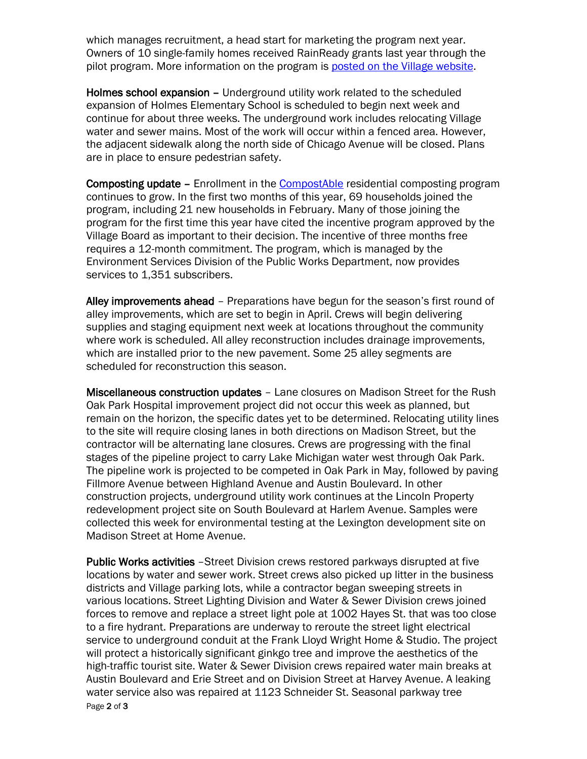which manages recruitment, a head start for marketing the program next year. Owners of 10 single-family homes received RainReady grants last year through the pilot program. More information on the program is [posted on the Village website.](https://www.oak-park.us/news/grant-program-help-oak-park-homeowners-get-rainready)

Holmes school expansion – Underground utility work related to the scheduled expansion of Holmes Elementary School is scheduled to begin next week and continue for about three weeks. The underground work includes relocating Village water and sewer mains. Most of the work will occur within a fenced area. However, the adjacent sidewalk along the north side of Chicago Avenue will be closed. Plans are in place to ensure pedestrian safety.

Composting update – Enrollment in the [CompostAble](https://www.oak-park.us/village-services/refuse-recycling/compostable-program) residential composting program continues to grow. In the first two months of this year, 69 households joined the program, including 21 new households in February. Many of those joining the program for the first time this year have cited the incentive program approved by the Village Board as important to their decision. The incentive of three months free requires a 12-month commitment. The program, which is managed by the Environment Services Division of the Public Works Department, now provides services to 1,351 subscribers.

Alley improvements ahead – Preparations have begun for the season's first round of alley improvements, which are set to begin in April. Crews will begin delivering supplies and staging equipment next week at locations throughout the community where work is scheduled. All alley reconstruction includes drainage improvements, which are installed prior to the new pavement. Some 25 alley segments are scheduled for reconstruction this season.

Miscellaneous construction updates – Lane closures on Madison Street for the Rush Oak Park Hospital improvement project did not occur this week as planned, but remain on the horizon, the specific dates yet to be determined. Relocating utility lines to the site will require closing lanes in both directions on Madison Street, but the contractor will be alternating lane closures. Crews are progressing with the final stages of the pipeline project to carry Lake Michigan water west through Oak Park. The pipeline work is projected to be competed in Oak Park in May, followed by paving Fillmore Avenue between Highland Avenue and Austin Boulevard. In other construction projects, underground utility work continues at the Lincoln Property redevelopment project site on South Boulevard at Harlem Avenue. Samples were collected this week for environmental testing at the Lexington development site on Madison Street at Home Avenue.

Page 2 of 3 Public Works activities - Street Division crews restored parkways disrupted at five locations by water and sewer work. Street crews also picked up litter in the business districts and Village parking lots, while a contractor began sweeping streets in various locations. Street Lighting Division and Water & Sewer Division crews joined forces to remove and replace a street light pole at 1002 Hayes St. that was too close to a fire hydrant. Preparations are underway to reroute the street light electrical service to underground conduit at the Frank Lloyd Wright Home & Studio. The project will protect a historically significant ginkgo tree and improve the aesthetics of the high-traffic tourist site. Water & Sewer Division crews repaired water main breaks at Austin Boulevard and Erie Street and on Division Street at Harvey Avenue. A leaking water service also was repaired at 1123 Schneider St. Seasonal parkway tree